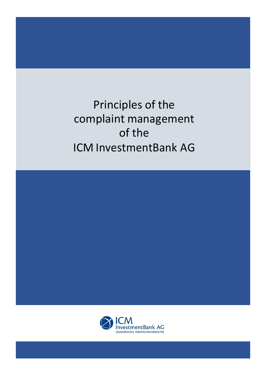Principles of the complaint management of the ICM InvestmentBank AG



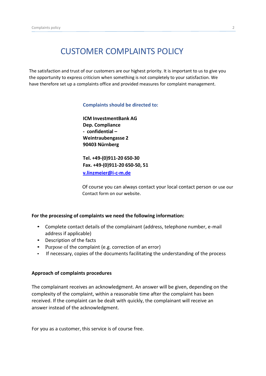## CUSTOMER COMPLAINTS POLICY

The satisfaction and trust of our customers are our highest priority. It is important to us to give you the opportunity to express criticism when something is not completely to your satisfaction. We have therefore set up a complaints office and provided measures for complaint management.

## **Complaints should be directed to:**

**ICM InvestmentBank AG Dep. Compliance - confidential – Weintraubengasse 2 90403 Nürnberg**

**Tel. +49-(0)911-20 650-30 Fax. +49-(0)911-20 650-50, 51 [v.linzmeier@i-c-m.de](mailto:linzmeier@i-c-m.de)**

Of course you can always contact your local contact person or use our Contact form on our website.

## **For the processing of complaints we need the following information:**

- Complete contact details of the complainant (address, telephone number, e-mail address if applicable)
- Description of the facts
- Purpose of the complaint (e.g. correction of an error)
- If necessary, copies of the documents facilitating the understanding of the process

## **Approach of complaints procedures**

The complainant receives an acknowledgment. An answer will be given, depending on the complexity of the complaint, within a reasonable time after the complaint has been received. If the complaint can be dealt with quickly, the complainant will receive an answer instead of the acknowledgment.

For you as a customer, this service is of course free.